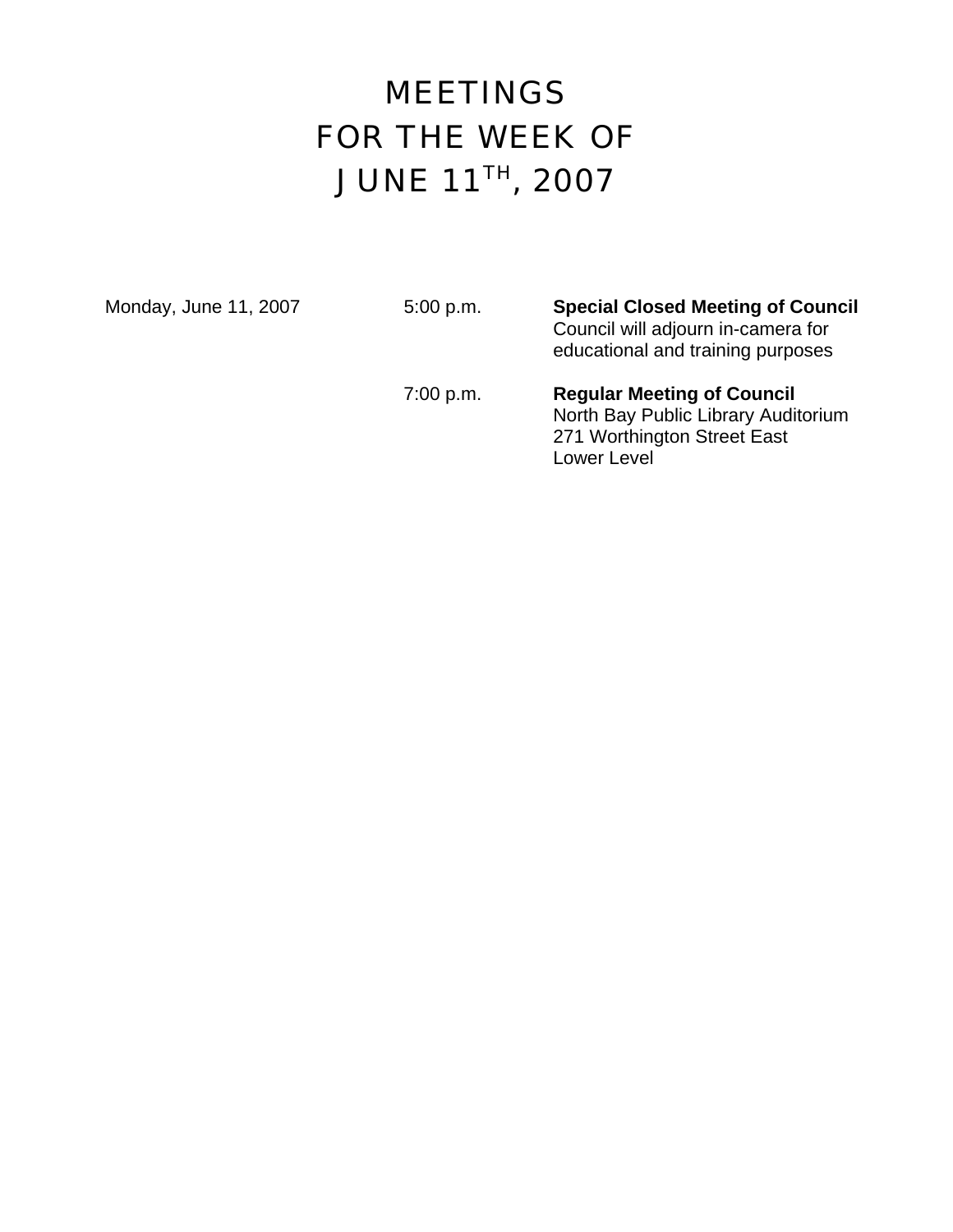# MEETINGS FOR THE WEEK OF JUNE 11TH, 2007

Monday, June 11, 2007 5:00 p.m. **Special Closed Meeting of Council** Council will adjourn in-camera for educational and training purposes

> 7:00 p.m. **Regular Meeting of Council**  North Bay Public Library Auditorium 271 Worthington Street East Lower Level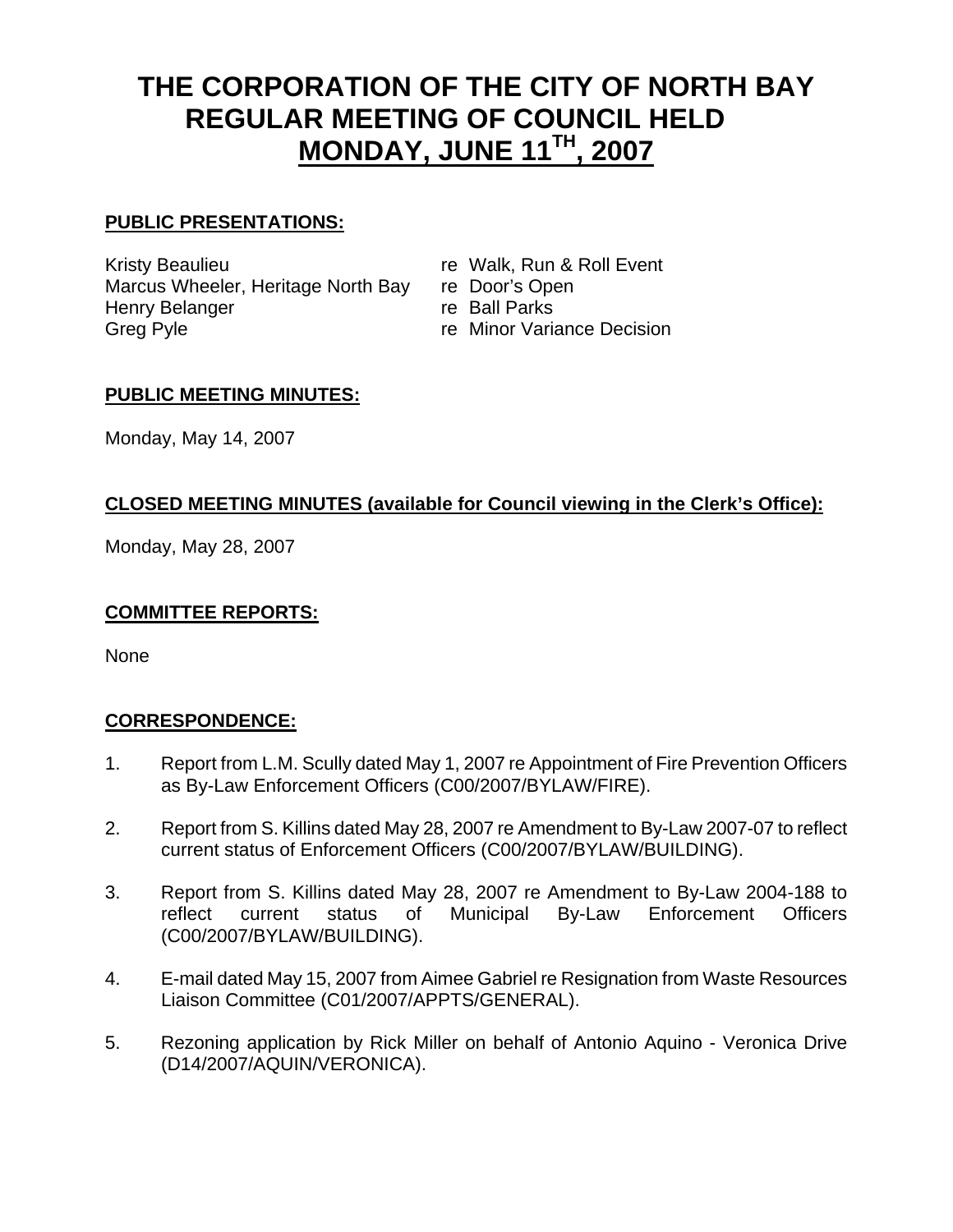# **THE CORPORATION OF THE CITY OF NORTH BAY REGULAR MEETING OF COUNCIL HELD MONDAY, JUNE 11TH, 2007**

#### **PUBLIC PRESENTATIONS:**

Kristy Beaulieu **re Walk, Run & Roll Event** Marcus Wheeler, Heritage North Bay re Door's Open Henry Belanger re Ball Parks Greg Pyle **Greg Pyle Contract Contract Contract Contract Contract Contract Contract Contract Contract Contract Contract Contract Contract Contract Contract Contract Contract Contract Contract Contract Contract Contract C** 

#### **PUBLIC MEETING MINUTES:**

Monday, May 14, 2007

### **CLOSED MEETING MINUTES (available for Council viewing in the Clerk's Office):**

Monday, May 28, 2007

#### **COMMITTEE REPORTS:**

None

#### **CORRESPONDENCE:**

- 1. Report from L.M. Scully dated May 1, 2007 re Appointment of Fire Prevention Officers as By-Law Enforcement Officers (C00/2007/BYLAW/FIRE).
- 2. Report from S. Killins dated May 28, 2007 re Amendment to By-Law 2007-07 to reflect current status of Enforcement Officers (C00/2007/BYLAW/BUILDING).
- 3. Report from S. Killins dated May 28, 2007 re Amendment to By-Law 2004-188 to reflect current status of Municipal By-Law Enforcement Officers (C00/2007/BYLAW/BUILDING).
- 4. E-mail dated May 15, 2007 from Aimee Gabriel re Resignation from Waste Resources Liaison Committee (C01/2007/APPTS/GENERAL).
- 5. Rezoning application by Rick Miller on behalf of Antonio Aquino Veronica Drive (D14/2007/AQUIN/VERONICA).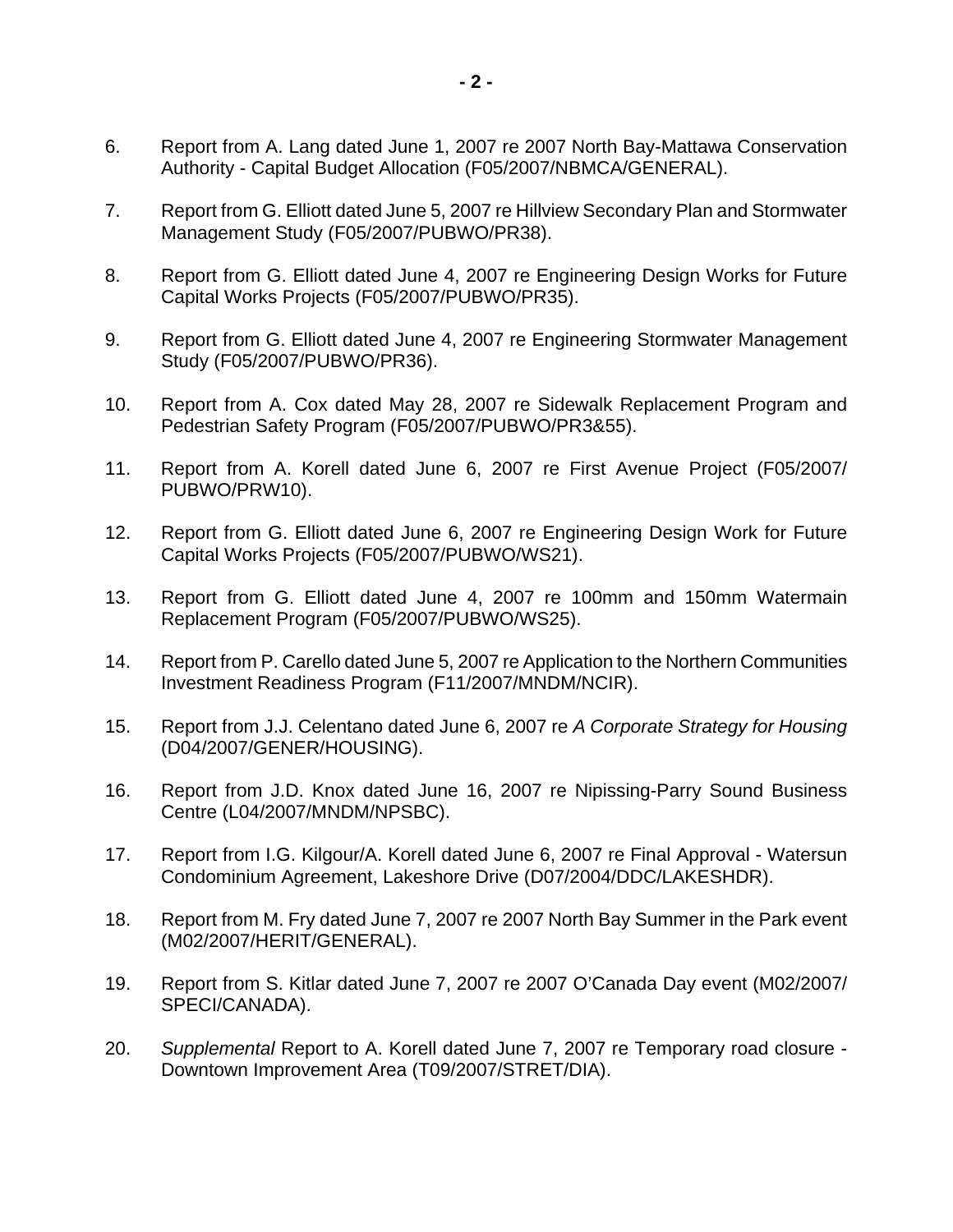- 6. Report from A. Lang dated June 1, 2007 re 2007 North Bay-Mattawa Conservation Authority - Capital Budget Allocation (F05/2007/NBMCA/GENERAL).
- 7. Report from G. Elliott dated June 5, 2007 re Hillview Secondary Plan and Stormwater Management Study (F05/2007/PUBWO/PR38).
- 8. Report from G. Elliott dated June 4, 2007 re Engineering Design Works for Future Capital Works Projects (F05/2007/PUBWO/PR35).
- 9. Report from G. Elliott dated June 4, 2007 re Engineering Stormwater Management Study (F05/2007/PUBWO/PR36).
- 10. Report from A. Cox dated May 28, 2007 re Sidewalk Replacement Program and Pedestrian Safety Program (F05/2007/PUBWO/PR3&55).
- 11. Report from A. Korell dated June 6, 2007 re First Avenue Project (F05/2007/ PUBWO/PRW10).
- 12. Report from G. Elliott dated June 6, 2007 re Engineering Design Work for Future Capital Works Projects (F05/2007/PUBWO/WS21).
- 13. Report from G. Elliott dated June 4, 2007 re 100mm and 150mm Watermain Replacement Program (F05/2007/PUBWO/WS25).
- 14. Report from P. Carello dated June 5, 2007 re Application to the Northern Communities Investment Readiness Program (F11/2007/MNDM/NCIR).
- 15. Report from J.J. Celentano dated June 6, 2007 re *A Corporate Strategy for Housing* (D04/2007/GENER/HOUSING).
- 16. Report from J.D. Knox dated June 16, 2007 re Nipissing-Parry Sound Business Centre (L04/2007/MNDM/NPSBC).
- 17. Report from I.G. Kilgour/A. Korell dated June 6, 2007 re Final Approval Watersun Condominium Agreement, Lakeshore Drive (D07/2004/DDC/LAKESHDR).
- 18. Report from M. Fry dated June 7, 2007 re 2007 North Bay Summer in the Park event (M02/2007/HERIT/GENERAL).
- 19. Report from S. Kitlar dated June 7, 2007 re 2007 O'Canada Day event (M02/2007/ SPECI/CANADA).
- 20. *Supplemental* Report to A. Korell dated June 7, 2007 re Temporary road closure Downtown Improvement Area (T09/2007/STRET/DIA).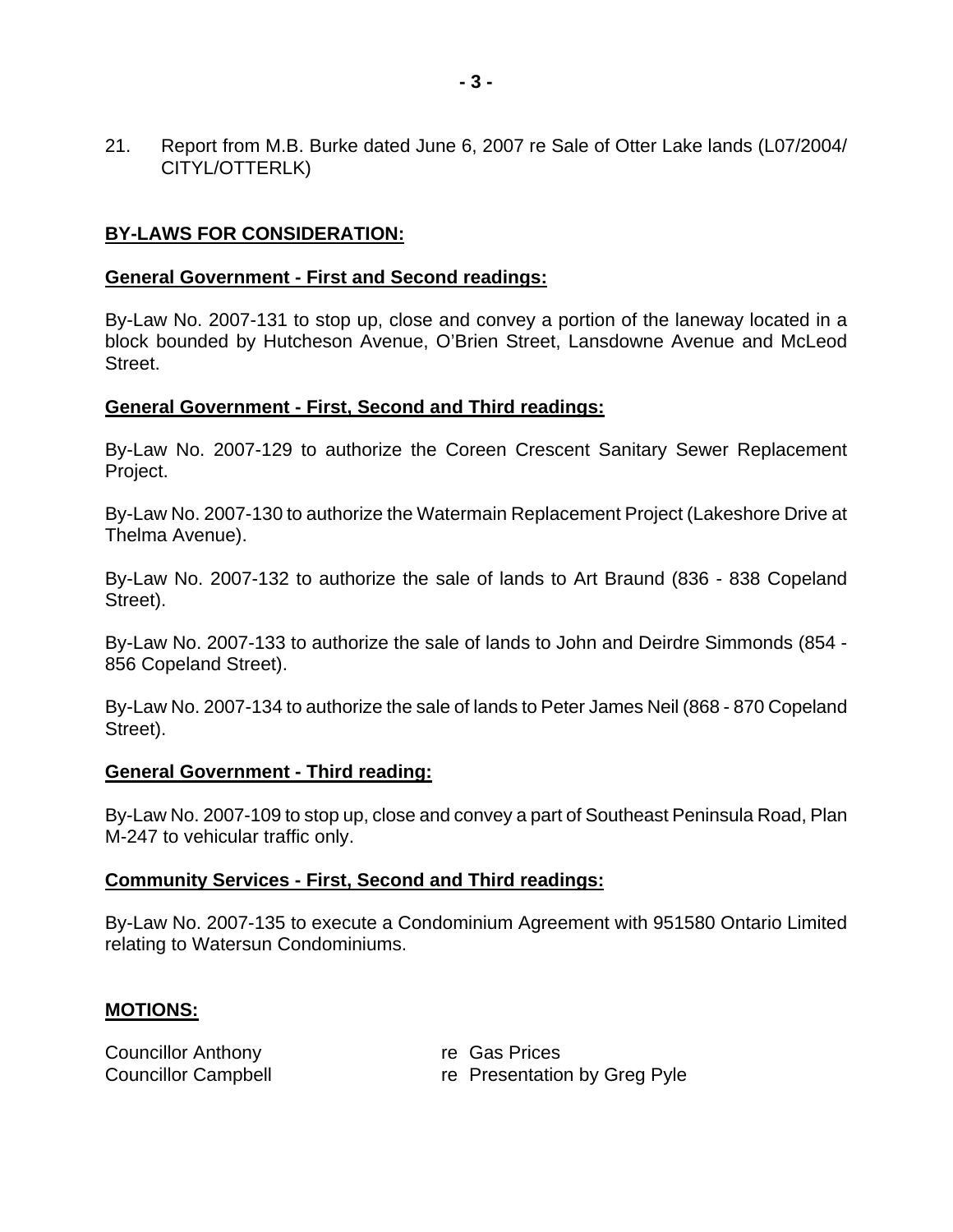21. Report from M.B. Burke dated June 6, 2007 re Sale of Otter Lake lands (L07/2004/ CITYL/OTTERLK)

#### **BY-LAWS FOR CONSIDERATION:**

#### **General Government - First and Second readings:**

By-Law No. 2007-131 to stop up, close and convey a portion of the laneway located in a block bounded by Hutcheson Avenue, O'Brien Street, Lansdowne Avenue and McLeod Street.

#### **General Government - First, Second and Third readings:**

By-Law No. 2007-129 to authorize the Coreen Crescent Sanitary Sewer Replacement Project.

By-Law No. 2007-130 to authorize the Watermain Replacement Project (Lakeshore Drive at Thelma Avenue).

By-Law No. 2007-132 to authorize the sale of lands to Art Braund (836 - 838 Copeland Street).

By-Law No. 2007-133 to authorize the sale of lands to John and Deirdre Simmonds (854 - 856 Copeland Street).

By-Law No. 2007-134 to authorize the sale of lands to Peter James Neil (868 - 870 Copeland Street).

#### **General Government - Third reading:**

By-Law No. 2007-109 to stop up, close and convey a part of Southeast Peninsula Road, Plan M-247 to vehicular traffic only.

#### **Community Services - First, Second and Third readings:**

By-Law No. 2007-135 to execute a Condominium Agreement with 951580 Ontario Limited relating to Watersun Condominiums.

#### **MOTIONS:**

| <b>Councillor Anthony</b>  | re Gas Prices                |
|----------------------------|------------------------------|
| <b>Councillor Campbell</b> | re Presentation by Greg Pyle |